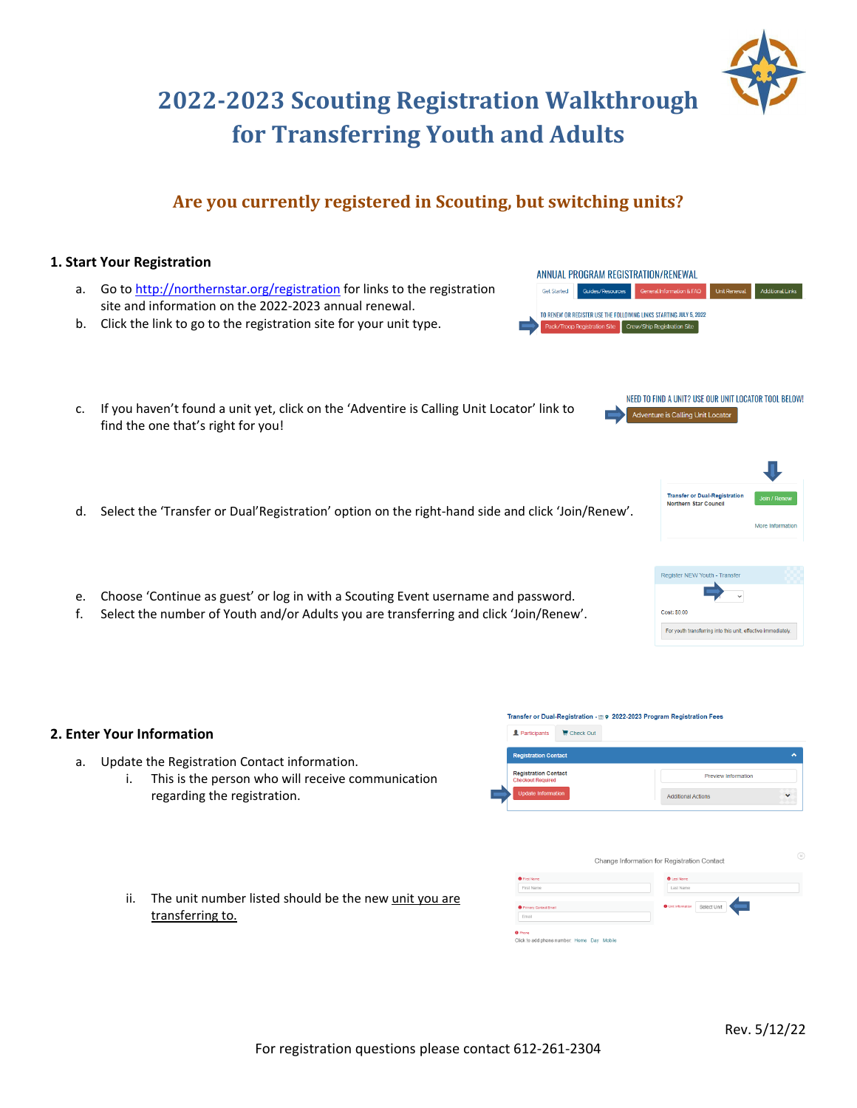# **2022‐2023 Scouting Registration Walkthrough for Transferring Youth and Adults**

# **Are you currently registered in Scouting, but switching units?**

## **1. Start Your Registration**

**2. Enter Your Information**

a. Update the Registration Contact information.

regarding the registration.

- a. Go to http://northernstar.org/registration for links to the registration site and information on the 2022‐2023 annual renewal.
- b. Click the link to go to the registration site for your unit type.
- c. If you haven't found a unit yet, click on the 'Adventire is Calling Unit Locator' link to find the one that's right for you!
- d. Select the 'Transfer or Dual'Registration' option on the right-hand side and click 'Join/Renew'.
- e. Choose 'Continue as guest' or log in with a Scouting Event username and password.
- f. Select the number of Youth and/or Adults you are transferring and click 'Join/Renew'.

ii. The unit number listed should be the new unit you are transferring to.

i. This is the person who will receive communication

| <b>O</b> First Name                        | <b>O</b> Last Name                       |
|--------------------------------------------|------------------------------------------|
| First Name                                 | Last Name                                |
|                                            |                                          |
| <b>O</b> Primary Contact Email             | <b>O</b> Unit Information<br>Select Unit |
| Email                                      |                                          |
|                                            |                                          |
| <b>O</b> Phone                             |                                          |
| Click to add phone number: Home Day Mobile |                                          |
|                                            |                                          |
|                                            |                                          |

Change Information for Registration Contact

Transfer or Dual-Registration - @ 9 2022-2023 Program Registration Fees

Participants E Check Out **Registration Contact Registration Contact** 

ANNUAL PROGRAM REGISTRATION/RENEWAL

TO RENEW OR REGISTER USE THE FOLLOWING LINKS STARTING JULY 5, 2022 Pack/Troop Registration Site | Crew/Ship Registration Site

**Get Started** 

Guides/Resources General Information & FAQ Unit Renewal Additional Links

Adventure is Calling Unit Locator

**Transfer or Dual-Registra** Northern Star Council

NEED TO FIND A UNIT? USE OUR UNIT LOCATOR TOOL BELOW!



Preview Information

Additional Actions

More Information